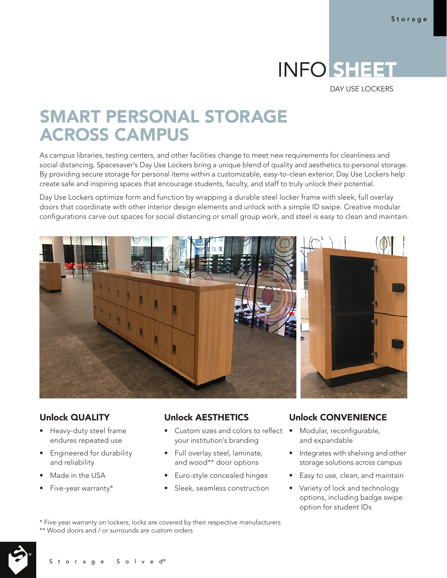# INFO SHEET

DAY USE LOCKERS

## SMART PERSONAL STORAGE ACROSS CAMPUS

As campus libraries, testing centers, and other facilities change to meet new requirements for cleanliness and social distancing, Spacesaver's Day Use Lockers bring a unique blend of quality and aesthetics to personal storage. By providing secure storage for personal items within a customizable, easy-to-clean exterior, Day Use Lockers help create safe and inspiring spaces that encourage students, faculty, and staff to truly unlock their potential.

Day Use Lockers optimize form and function by wrapping a durable steel locker frame with sleek, full overlay doors that coordinate with other interior design elements and unlock with a simple ID swipe. Creative modular configurations carve out spaces for social distancing or small group work, and steel is easy to clean and maintain.



#### Unlock QUALITY

- Heavy-duty steel frame endures repeated use
- Engineered for durability and reliability

Storage Solved®

- Made in the USA
- Five-year warranty\*

#### Unlock AESTHETICS

- Custom sizes and colors to reflect your institution's branding
- Full overlay steel, laminate, and wood\*\* door options
- Euro-style concealed hinges
- Sleek, seamless construction

#### Unlock CONVENIENCE

- Modular, reconfigurable, and expandable
- Integrates with shelving and other storage solutions across campus
- Easy to use, clean, and maintain
- Variety of lock and technology options, including badge swipe option for student IDs

\* Five-year warranty on lockers; locks are covered by their respective manufacturers \*\* Wood doors and / or surrounds are custom orders